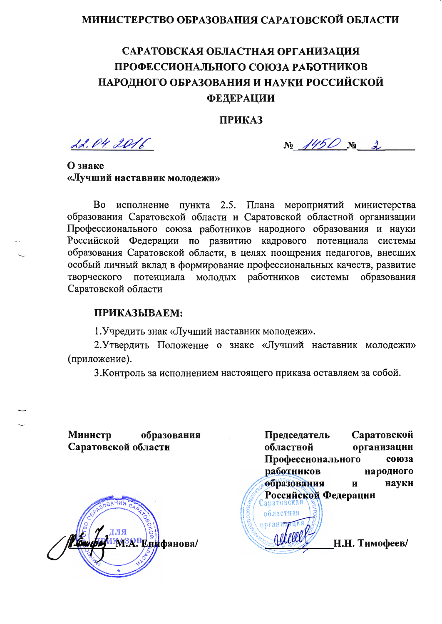# САРАТОВСКАЯ ОБЛАСТНАЯ ОРГАНИЗАЦИЯ ПРОФЕССИОНАЛЬНОГО СОЮЗА РАБОТНИКОВ НАРОДНОГО ОБРАЗОВАНИЯ И НАУКИ РОССИЙСКОЙ **ФЕДЕРАЦИИ**

#### **ПРИКАЗ**

22.04.2016

 $N_2$  /450  $N_2$  2

О знаке «Лучший наставник молодежи»

Во исполнение пункта 2.5. Плана мероприятий министерства образования Саратовской области и Саратовской областной организации Профессионального союза работников народного образования и науки Российской Федерации по развитию кадрового потенциала системы образования Саратовской области, в целях поощрения педагогов, внесших особый личный вклад в формирование профессиональных качеств, развитие творческого потенциала молодых работников системы образования Саратовской области

#### ПРИКАЗЫВАЕМ:

1. Учредить знак «Лучший наставник молодежи».

2. Утвердить Положение о знаке «Лучший наставник молодежи» (приложение).

3. Контроль за исполнением настоящего приказа оставляем за собой.

Министр образования Саратовской области

M<sup>3</sup>RBE нисранова/

Председатель Саратовской областной организации Профессионального союза работников народного **образования** науки  $\mathbf H$ Российской Федерации областная

Н.Н. Тимофеев/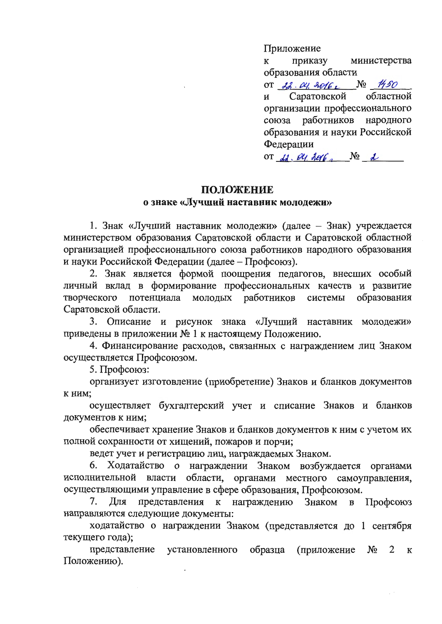Приложение приказу министерства  $\mathbf K$ образования области OT  $22.04.2016$  $N_2$  1450 Саратовской областной  $\mathbf{H}$ организации профессионального союза работников народного образования и науки Российской Федерации OT da.  $\mathscr{A}_4$  det  $\mathscr{C}_2$  No a

### ПОЛОЖЕНИЕ

### о знаке «Лучший наставник молодежи»

1. Знак «Лучший наставник молодежи» (далее - Знак) учреждается министерством образования Саратовской области и Саратовской областной организацией профессионального союза работников народного образования и науки Российской Федерации (далее - Профсоюз).

2. Знак является формой поощрения педагогов, внесших особый личный вклад в формирование профессиональных качеств и развитие работников творческого потенциала молодых системы образования Саратовской области.

3. Описание и рисунок знака «Лучший наставник молодежи» приведены в приложении № 1 к настоящему Положению.

4. Финансирование расходов, связанных с награждением лиц Знаком осуществляется Профсоюзом.

5. Профсоюз:

организует изготовление (приобретение) Знаков и бланков документов К НИМ;

осуществляет бухгалтерский учет и списание Знаков и бланков документов к ним;

обеспечивает хранение Знаков и бланков документов к ним с учетом их полной сохранности от хищений, пожаров и порчи;

ведет учет и регистрацию лиц, награждаемых Знаком.

6. Ходатайство о награждении Знаком возбуждается органами исполнительной власти области, органами местного самоуправления, осуществляющими управление в сфере образования, Профсоюзом.

7. Лля представления к награждению Знаком  $\overline{B}$ Профсоюз направляются следующие документы:

ходатайство о награждении Знаком (представляется до 1 сентября текущего года);

представление установленного образца (приложение  $N_2$ 2  $\mathbf{K}$ Положению).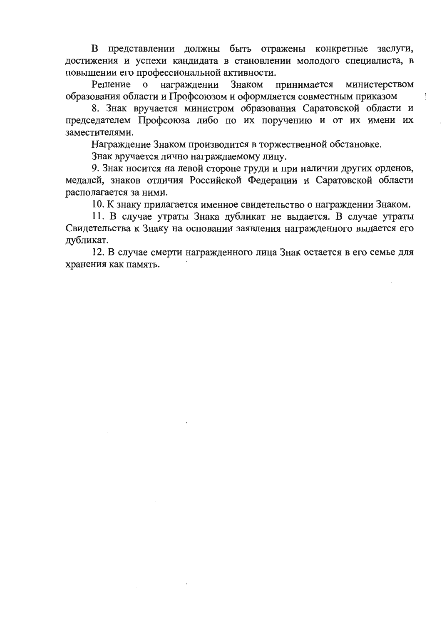В представлении должны быть отражены конкретные заслуги, достижения и успехи кандидата в становлении молодого специалиста, в повышении его профессиональной активности.

Решение о награждении Знаком принимается министерством образования области и Профсоюзом и оформляется совместным приказом

8. Знак вручается министром образования Саратовской области и председателем Профсоюза либо по их поручению и от их имени их заместителями.

Награждение Знаком производится в торжественной обстановке.

Знак вручается лично награждаемому лицу.

9. Знак носится на левой стороне груди и при наличии других орденов, медалей, знаков отличия Российской Федерации и Саратовской области располагается за ними.

10. К знаку прилагается именное свидетельство о награждении Знаком.

11. В случае утраты Знака дубликат не выдается. В случае утраты Свидетельства к Знаку на основании заявления награжденного выдается его дубликат.

12. В случае смерти награжденного лица Знак остается в его семье для хранения как память.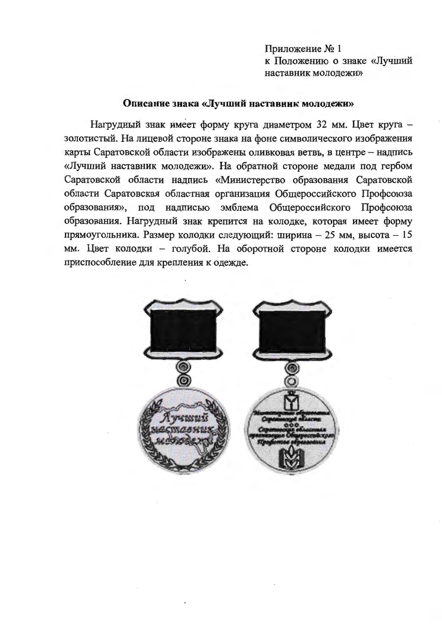Приложение № 1 к Положению о знаке «Лучший наставник молодежи»

#### Описание знака «Лучший наставник молодежи»

Нагрудный знак имеет форму круга диаметром 32 мм. Цвет круга золотистый. На лицевой стороне знака на фоне символического изображения карты Саратовской области изображены оливковая ветвь, в центре - надпись «Лучший наставник молодежи». На обратной стороне медали под гербом Саратовской области надпись «Министерство образования Саратовской области Саратовская областная организация Общероссийского Профсоюза образования», под надписью эмблема Общероссийского Профсоюза образования. Нагрудный знак крепится на колодке, которая имеет форму прямоугольника. Размер колодки следующий: ширина - 25 мм, высота - 15 мм. Цвет колодки - голубой. На оборотной стороне колодки имеется приспособление для крепления к одежде.